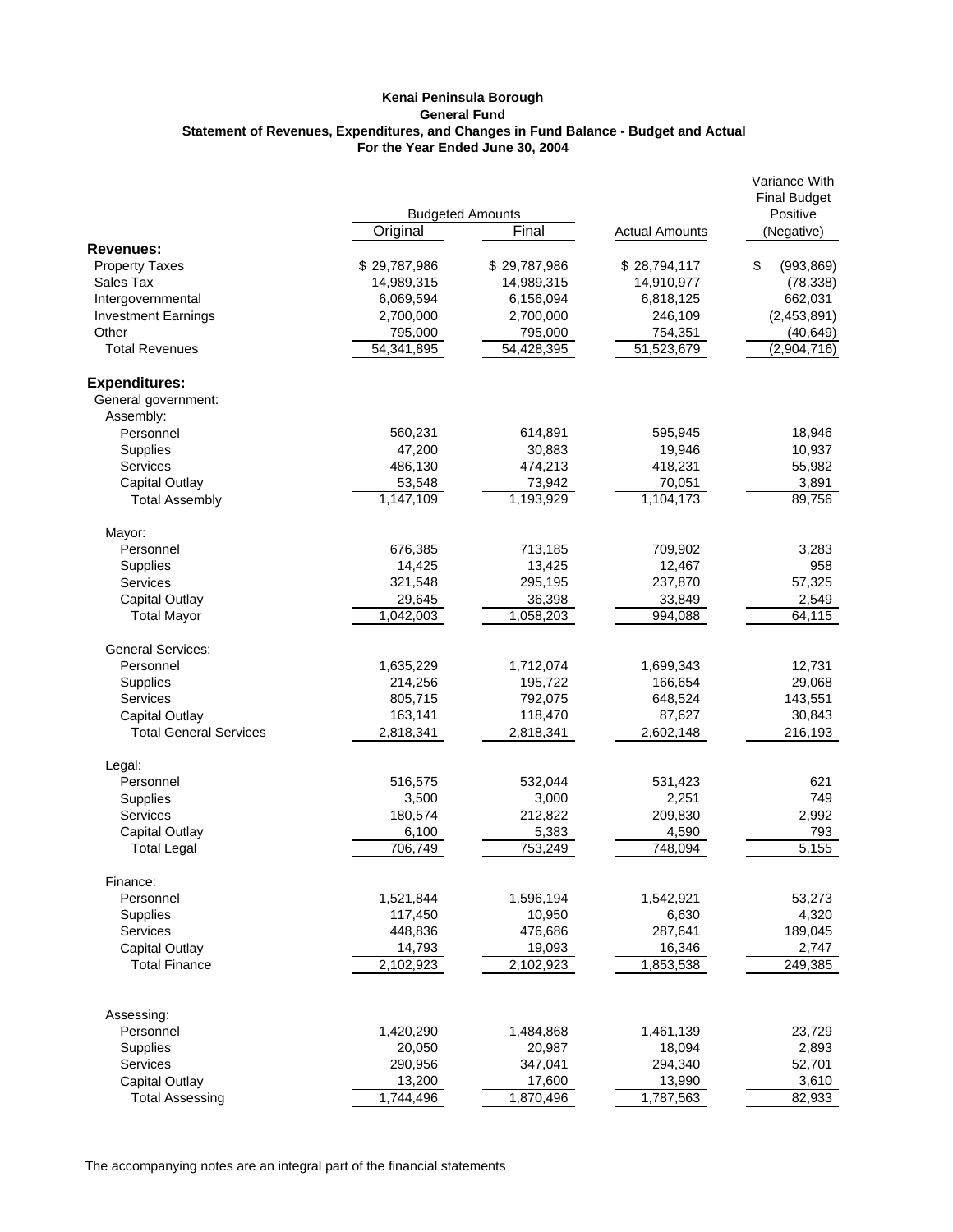## **Kenai Peninsula Borough General Fund For the Year Ended June 30, 2004 Statement of Revenues, Expenditures, and Changes in Fund Balance - Budget and Actual**

|                                                 | <b>Budgeted Amounts</b> |                      |                       | Variance With<br><b>Final Budget</b><br>Positive |
|-------------------------------------------------|-------------------------|----------------------|-----------------------|--------------------------------------------------|
|                                                 | Original                | Final                | <b>Actual Amounts</b> | (Negative)                                       |
| <b>Revenues:</b>                                |                         |                      |                       |                                                  |
| <b>Property Taxes</b>                           | \$29,787,986            | \$29,787,986         | \$28,794,117          | \$<br>(993, 869)                                 |
| Sales Tax                                       | 14,989,315              | 14,989,315           | 14,910,977            | (78, 338)                                        |
| Intergovernmental                               | 6,069,594               | 6,156,094            | 6,818,125             | 662,031                                          |
| <b>Investment Earnings</b>                      | 2,700,000               | 2,700,000            | 246,109               | (2,453,891)                                      |
| Other                                           | 795,000                 | 795,000              | 754,351               | (40, 649)                                        |
| <b>Total Revenues</b>                           | 54,341,895              | 54,428,395           | 51,523,679            | (2,904,716)                                      |
| <b>Expenditures:</b>                            |                         |                      |                       |                                                  |
| General government:                             |                         |                      |                       |                                                  |
| Assembly:                                       |                         |                      |                       |                                                  |
| Personnel                                       | 560,231                 | 614,891              | 595,945               | 18,946                                           |
| Supplies                                        | 47,200                  | 30,883               | 19,946                | 10,937                                           |
| Services                                        | 486,130                 | 474,213              | 418,231               | 55,982<br>3,891                                  |
| <b>Capital Outlay</b><br><b>Total Assembly</b>  | 53,548<br>1,147,109     | 73,942<br>1,193,929  | 70,051<br>1,104,173   | 89,756                                           |
|                                                 |                         |                      |                       |                                                  |
| Mayor:                                          |                         |                      |                       |                                                  |
| Personnel                                       | 676,385                 | 713,185              | 709,902               | 3,283                                            |
| Supplies                                        | 14,425                  | 13,425               | 12,467                | 958                                              |
| <b>Services</b>                                 | 321,548                 | 295,195              | 237,870               | 57,325                                           |
| <b>Capital Outlay</b>                           | 29,645                  | 36,398               | 33,849                | 2,549                                            |
| <b>Total Mayor</b>                              | 1,042,003               | 1,058,203            | 994,088               | 64,115                                           |
| <b>General Services:</b>                        |                         |                      |                       |                                                  |
| Personnel                                       | 1,635,229               | 1,712,074            | 1,699,343             | 12,731                                           |
| Supplies                                        | 214,256                 | 195,722              | 166,654               | 29,068                                           |
| <b>Services</b>                                 | 805,715                 | 792,075              | 648,524               | 143,551                                          |
| Capital Outlay<br><b>Total General Services</b> | 163,141<br>2,818,341    | 118,470<br>2,818,341 | 87,627<br>2,602,148   | 30,843<br>216,193                                |
| Legal:                                          |                         |                      |                       |                                                  |
| Personnel                                       | 516,575                 | 532,044              | 531,423               | 621                                              |
| <b>Supplies</b>                                 | 3,500                   | 3,000                | 2,251                 | 749                                              |
| <b>Services</b>                                 | 180,574                 | 212,822              | 209,830               | 2,992                                            |
| Capital Outlay                                  | 6,100                   | 5,383                | 4,590                 | 793                                              |
| <b>Total Legal</b>                              | 706,749                 | 753,249              | 748,094               | 5,155                                            |
| Finance:                                        |                         |                      |                       |                                                  |
| Personnel                                       | 1,521,844               | 1,596,194            | 1,542,921             | 53,273                                           |
| Supplies                                        | 117,450                 | 10,950               | 6,630                 | 4,320                                            |
| Services                                        | 448,836                 | 476,686              | 287,641               | 189,045                                          |
| Capital Outlay                                  | 14,793                  | 19,093               | 16,346                | 2,747                                            |
| <b>Total Finance</b>                            | 2,102,923               | 2,102,923            | 1,853,538             | 249,385                                          |
| Assessing:                                      |                         |                      |                       |                                                  |
| Personnel                                       | 1,420,290               | 1,484,868            | 1,461,139             | 23,729                                           |
| Supplies                                        | 20,050                  | 20,987               | 18,094                | 2,893                                            |
| Services                                        | 290,956                 | 347,041              | 294,340               | 52,701                                           |
| <b>Capital Outlay</b>                           | 13,200                  | 17,600               | 13,990                | 3,610                                            |
| <b>Total Assessing</b>                          | 1,744,496               | 1,870,496            | 1,787,563             | 82,933                                           |
|                                                 |                         |                      |                       |                                                  |

The accompanying notes are an integral part of the financial statements